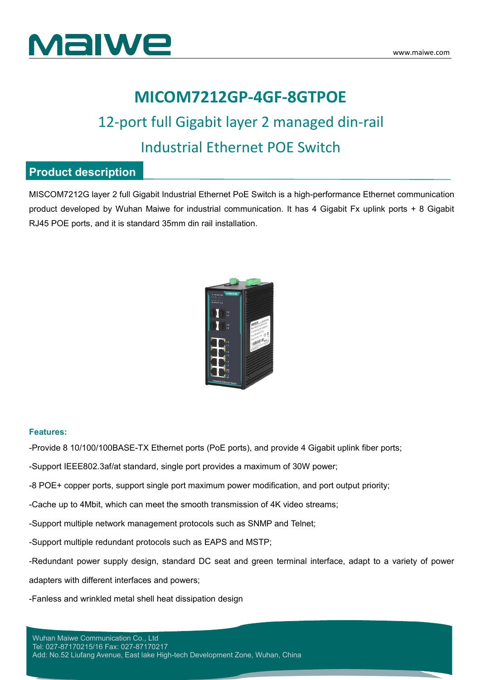



## **MICOM7212GP-4GF-8GTPOE**

## 12-port full Gigabit layer 2 managed din-rail Industrial Ethernet POE Switch

### **Product description**

MISCOM7212G layer 2 full Gigabit Industrial Ethernet PoE Switch isa high-performance Ethernet communication product developed by Wuhan Maiwe for industrial communication. It has 4 Gigabit Fx uplink ports + 8 Gigabit RJ45 POE ports, and it is standard 35mm din rail installation.



#### **Features:**

-Provide 8 10/100/100BASE-TX Ethernet ports (PoE ports), and provide 4 Gigabit uplink fiber ports;

-Support IEEE802.3af/at standard, single port provides a maximum of 30W power;

-8 POE+ copper ports, support single port maximum power modification, and port output priority;

-Cache up to 4Mbit, which can meet the smooth transmission of 4K video streams;

-Support multiple network management protocols such as SNMP and Telnet;

-Support multiple redundant protocols such as EAPS and MSTP;

-Redundant power supply design, standard DC seat and green terminal interface, adapt to a variety of power

adapters with different interfaces and powers;

-Fanless and wrinkled metal shell heat dissipation design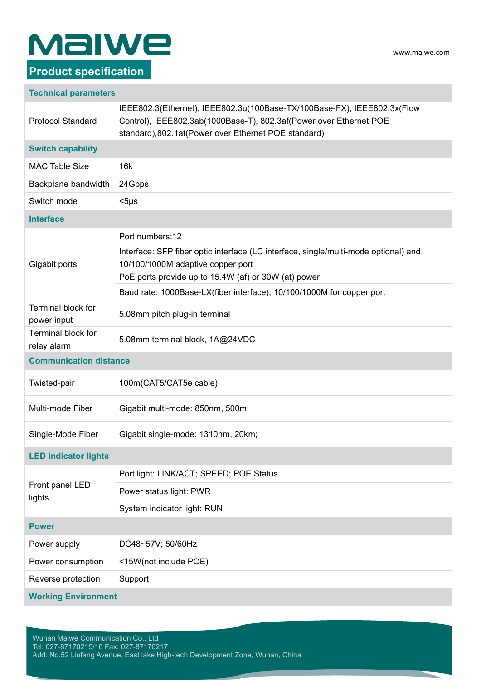# **MalWe**

### **Product specification**

|  | <b>Technical parameters</b> |  |
|--|-----------------------------|--|
|--|-----------------------------|--|

| <b>Protocol Standard</b>          | IEEE802.3(Ethernet), IEEE802.3u(100Base-TX/100Base-FX), IEEE802.3x(Flow<br>Control), IEEE802.3ab(1000Base-T), 802.3af(Power over Ethernet POE<br>standard), 802.1at(Power over Ethernet POE standard) |
|-----------------------------------|-------------------------------------------------------------------------------------------------------------------------------------------------------------------------------------------------------|
| <b>Switch capability</b>          |                                                                                                                                                                                                       |
| <b>MAC Table Size</b>             | 16k                                                                                                                                                                                                   |
| Backplane bandwidth               | 24Gbps                                                                                                                                                                                                |
| Switch mode                       | $<$ 5µs                                                                                                                                                                                               |
| <b>Interface</b>                  |                                                                                                                                                                                                       |
|                                   | Port numbers:12                                                                                                                                                                                       |
| Gigabit ports                     | Interface: SFP fiber optic interface (LC interface, single/multi-mode optional) and<br>10/100/1000M adaptive copper port<br>PoE ports provide up to 15.4W (af) or 30W (at) power                      |
|                                   | Baud rate: 1000Base-LX(fiber interface), 10/100/1000M for copper port                                                                                                                                 |
| Terminal block for<br>power input | 5.08mm pitch plug-in terminal                                                                                                                                                                         |
| Terminal block for<br>relay alarm | 5.08mm terminal block, 1A@24VDC                                                                                                                                                                       |
| <b>Communication distance</b>     |                                                                                                                                                                                                       |
| Twisted-pair                      | 100m(CAT5/CAT5e cable)                                                                                                                                                                                |
| Multi-mode Fiber                  | Gigabit multi-mode: 850nm, 500m;                                                                                                                                                                      |
| Single-Mode Fiber                 | Gigabit single-mode: 1310nm, 20km;                                                                                                                                                                    |
| <b>LED indicator lights</b>       |                                                                                                                                                                                                       |
| Front panel LED<br>lights         | Port light: LINK/ACT; SPEED; POE Status                                                                                                                                                               |
|                                   | Power status light: PWR                                                                                                                                                                               |
|                                   | System indicator light: RUN                                                                                                                                                                           |
| <b>Power</b>                      |                                                                                                                                                                                                       |
| Power supply                      | DC48~57V; 50/60Hz                                                                                                                                                                                     |
| Power consumption                 | <15W(not include POE)                                                                                                                                                                                 |
| Reverse protection                | Support                                                                                                                                                                                               |
| <b>Working Environment</b>        |                                                                                                                                                                                                       |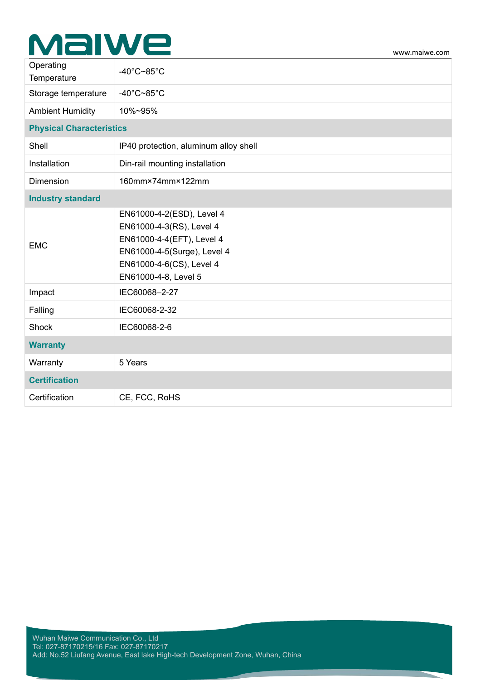# Malwe

| $-40^{\circ}$ C~85 $^{\circ}$ C                                                                                                                                       |
|-----------------------------------------------------------------------------------------------------------------------------------------------------------------------|
| -40 $^{\circ}$ C~85 $^{\circ}$ C                                                                                                                                      |
| 10%~95%                                                                                                                                                               |
| <b>Physical Characteristics</b>                                                                                                                                       |
| IP40 protection, aluminum alloy shell                                                                                                                                 |
| Din-rail mounting installation                                                                                                                                        |
| 160mm×74mm×122mm                                                                                                                                                      |
|                                                                                                                                                                       |
| EN61000-4-2(ESD), Level 4<br>EN61000-4-3(RS), Level 4<br>EN61000-4-4(EFT), Level 4<br>EN61000-4-5(Surge), Level 4<br>EN61000-4-6(CS), Level 4<br>EN61000-4-8, Level 5 |
| IEC60068-2-27                                                                                                                                                         |
| IEC60068-2-32                                                                                                                                                         |
| IEC60068-2-6                                                                                                                                                          |
|                                                                                                                                                                       |
| 5 Years                                                                                                                                                               |
|                                                                                                                                                                       |
| CE, FCC, RoHS                                                                                                                                                         |
|                                                                                                                                                                       |